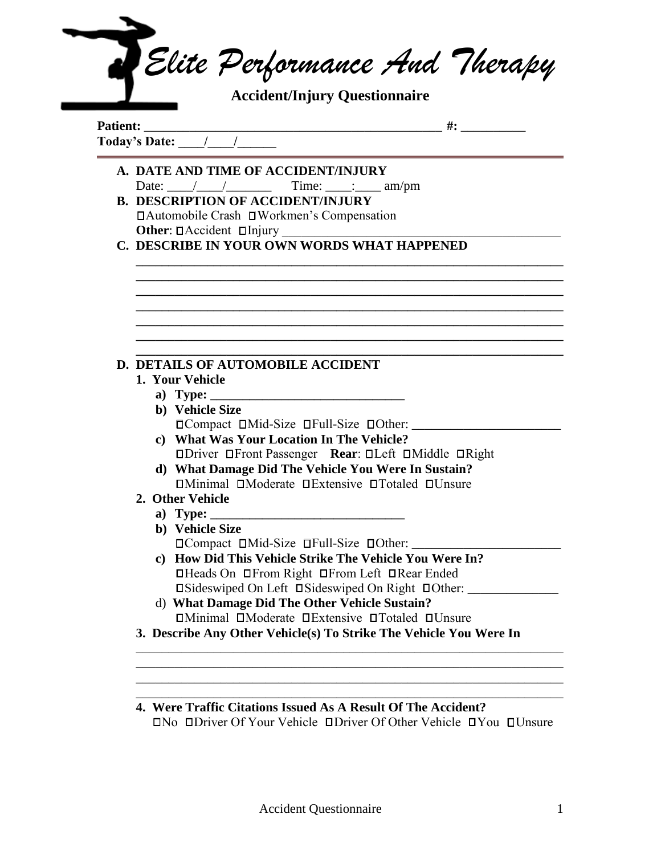|                 | <b>Accident/Injury Questionnaire</b>                                                                                                                                                                                                                                                                                                                                                                                                    |
|-----------------|-----------------------------------------------------------------------------------------------------------------------------------------------------------------------------------------------------------------------------------------------------------------------------------------------------------------------------------------------------------------------------------------------------------------------------------------|
| <b>Patient:</b> | $\overline{a}$ $\overline{a}$ $\overline{a}$ $\overline{a}$ $\overline{a}$ $\overline{a}$ $\overline{a}$ $\overline{a}$ $\overline{a}$ $\overline{a}$ $\overline{a}$ $\overline{a}$ $\overline{a}$ $\overline{a}$ $\overline{a}$ $\overline{a}$ $\overline{a}$ $\overline{a}$ $\overline{a}$ $\overline{a}$ $\overline{a}$ $\overline{a}$ $\overline{a}$ $\overline{a}$ $\overline{$<br>Today's Date: $\frac{1}{\sqrt{1-\frac{1}{2}}}\$ |
|                 | A. DATE AND TIME OF ACCIDENT/INJURY                                                                                                                                                                                                                                                                                                                                                                                                     |
|                 | Date: $\angle$ / $\angle$ Time: $\angle$ am/pm                                                                                                                                                                                                                                                                                                                                                                                          |
|                 | <b>B. DESCRIPTION OF ACCIDENT/INJURY</b>                                                                                                                                                                                                                                                                                                                                                                                                |
|                 | □ Automobile Crash □ Workmen's Compensation<br>Other: DAccident DInjury                                                                                                                                                                                                                                                                                                                                                                 |
|                 | C. DESCRIBE IN YOUR OWN WORDS WHAT HAPPENED                                                                                                                                                                                                                                                                                                                                                                                             |
|                 |                                                                                                                                                                                                                                                                                                                                                                                                                                         |
|                 |                                                                                                                                                                                                                                                                                                                                                                                                                                         |
|                 |                                                                                                                                                                                                                                                                                                                                                                                                                                         |
|                 |                                                                                                                                                                                                                                                                                                                                                                                                                                         |
|                 |                                                                                                                                                                                                                                                                                                                                                                                                                                         |
|                 |                                                                                                                                                                                                                                                                                                                                                                                                                                         |
|                 |                                                                                                                                                                                                                                                                                                                                                                                                                                         |
|                 | D. DETAILS OF AUTOMOBILE ACCIDENT                                                                                                                                                                                                                                                                                                                                                                                                       |
|                 | 1. Your Vehicle                                                                                                                                                                                                                                                                                                                                                                                                                         |
|                 |                                                                                                                                                                                                                                                                                                                                                                                                                                         |
|                 | b) Vehicle Size                                                                                                                                                                                                                                                                                                                                                                                                                         |
|                 | □ Compact □ Mid-Size □ Full-Size □ Other:<br>c) What Was Your Location In The Vehicle?                                                                                                                                                                                                                                                                                                                                                  |
|                 |                                                                                                                                                                                                                                                                                                                                                                                                                                         |
|                 |                                                                                                                                                                                                                                                                                                                                                                                                                                         |
|                 | <b>ODriver OFront Passenger Rear: OLeft OMiddle ORight</b>                                                                                                                                                                                                                                                                                                                                                                              |
|                 | d) What Damage Did The Vehicle You Were In Sustain?                                                                                                                                                                                                                                                                                                                                                                                     |
|                 | <b>OMinimal DModerate DExtensive OTotaled DUnsure</b>                                                                                                                                                                                                                                                                                                                                                                                   |
|                 | 2. Other Vehicle                                                                                                                                                                                                                                                                                                                                                                                                                        |
|                 |                                                                                                                                                                                                                                                                                                                                                                                                                                         |
|                 | b) Vehicle Size                                                                                                                                                                                                                                                                                                                                                                                                                         |
|                 | □ Compact □ Mid-Size □ Full-Size □ Other: ______                                                                                                                                                                                                                                                                                                                                                                                        |
|                 | c) How Did This Vehicle Strike The Vehicle You Were In?                                                                                                                                                                                                                                                                                                                                                                                 |
|                 | □Heads On □From Right □From Left □Rear Ended                                                                                                                                                                                                                                                                                                                                                                                            |
|                 | □Sideswiped On Left □Sideswiped On Right □Other: ________<br>d) What Damage Did The Other Vehicle Sustain?                                                                                                                                                                                                                                                                                                                              |

**4. Were Traffic Citations Issued As A Result Of The Accident?** No Driver Of Your Vehicle Driver Of Other Vehicle You Unsure

\_\_\_\_\_\_\_\_\_\_\_\_\_\_\_\_\_\_\_\_\_\_\_\_\_\_\_\_\_\_\_\_\_\_\_\_\_\_\_\_\_\_\_\_\_\_\_\_\_\_\_\_\_\_\_\_\_\_\_\_\_\_\_\_\_\_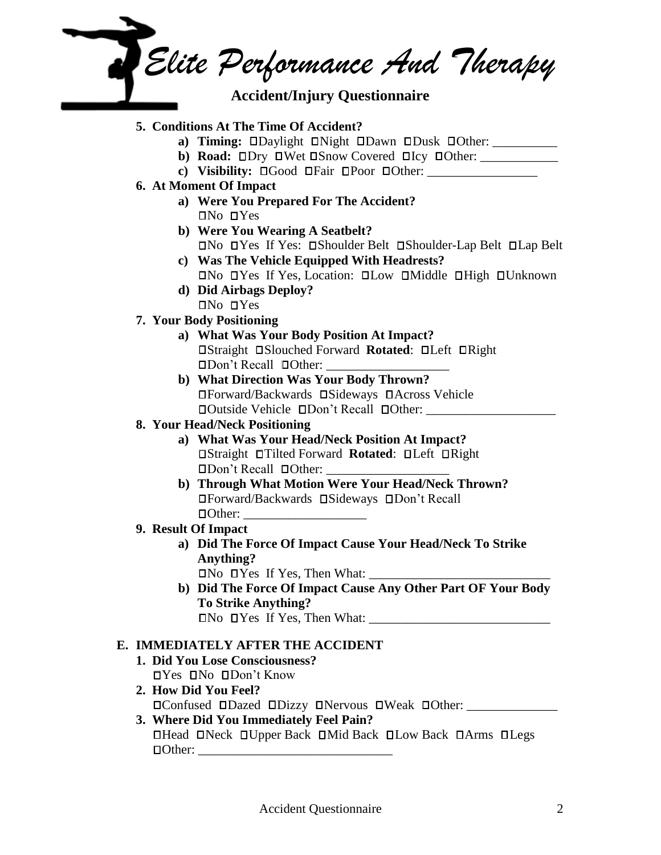*Elite Performance And Therapy*  **Accident/Injury Questionnaire** 

### **5. Conditions At The Time Of Accident?**

- **a) Timing: ODaylight ONight ODawn ODusk OOther:**
- **b) Road:**  $\square$ Dry  $\square$ Wet  $\square$ Snow Covered  $\square$ Icy  $\square$ Other:
- **c**) Visibility:  $\Box$  Good  $\Box$  Fair  $\Box$  Poor  $\Box$  Other:
- **6. At Moment Of Impact**
	- **a) Were You Prepared For The Accident?**  $INo$  DYes
	- **b) Were You Wearing A Seatbelt?** No Yes If Yes: Shoulder Belt Shoulder-Lap Belt Lap Belt
	- **c) Was The Vehicle Equipped With Headrests?**  $\Box$ No  $\Box$ Yes If Yes, Location:  $\Box$ Low  $\Box$ Middle  $\Box$ High  $\Box$ Unknown
	- **d) Did Airbags Deploy?**  $INo$  DYes

### **7. Your Body Positioning**

- **a) What Was Your Body Position At Impact? Obset Slouched Forward Rotated: Oldeft Oright**  $\Box$ Don't Recall  $\Box$ Other:
- **b) What Direction Was Your Body Thrown?** Forward/Backwards Sideways Across Vehicle  $\Box$ Outside Vehicle  $\Box$ Don't Recall  $\Box$ Other:

# **8. Your Head/Neck Positioning**

- **a) What Was Your Head/Neck Position At Impact? □Straight □Tilted Forward Rotated: □Left □Right** Don't Recall Other: \_\_\_\_\_\_\_\_\_\_\_\_\_\_\_\_\_\_\_
- **b) Through What Motion Were Your Head/Neck Thrown?** Forward/Backwards Sideways Don't Recall Other: \_\_\_\_\_\_\_\_\_\_\_\_\_\_\_\_\_\_\_

## **9. Result Of Impact**

- **a) Did The Force Of Impact Cause Your Head/Neck To Strike Anything?**
	- $\Box$  No  $\Box$  Yes If Yes, Then What:
- **b) Did The Force Of Impact Cause Any Other Part OF Your Body To Strike Anything?**  $\Box$ No  $\Box$ Yes If Yes, Then What:

## **E. IMMEDIATELY AFTER THE ACCIDENT**

- **1. Did You Lose Consciousness?**  $I$ Yes  $I$ No  $I$ Don't Know
- **2. How Did You Feel?** Confused Dazed Dizzy Nervous Weak Other: \_\_\_\_\_\_\_\_\_\_\_\_\_\_
- **3. Where Did You Immediately Feel Pain?**  $\Box$  Head  $\Box$  Neck  $\Box$  Upper Back  $\Box$  Mid Back  $\Box$  Low Back  $\Box$  Arms  $\Box$  Legs Other: \_\_\_\_\_\_\_\_\_\_\_\_\_\_\_\_\_\_\_\_\_\_\_\_\_\_\_\_\_\_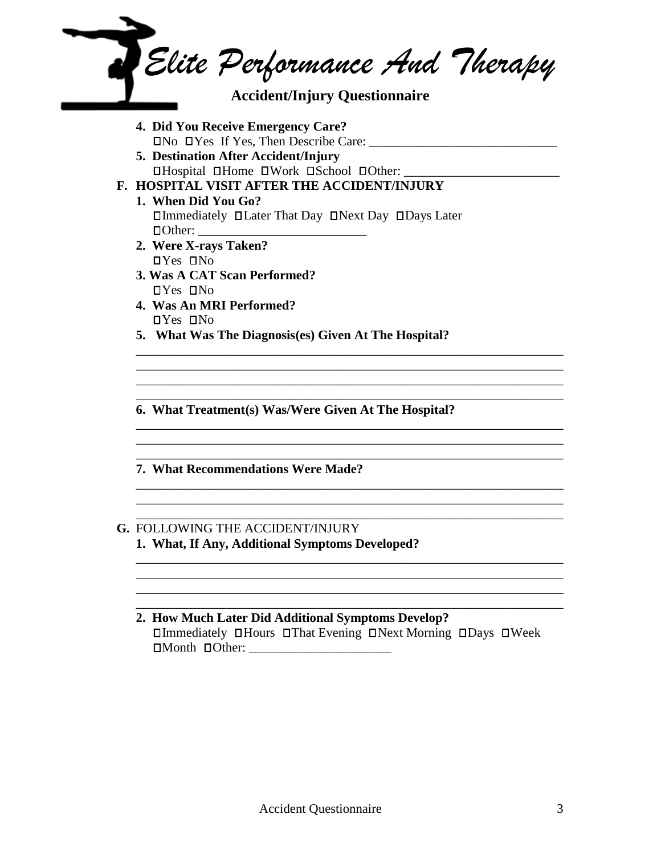

**2. How Much Later Did Additional Symptoms Develop?**  $\Box$ Immediately  $\Box$ Hours  $\Box$ That Evening  $\Box$ Next Morning  $\Box$ Days  $\Box$ Week  $\Box$  Month  $\Box$  Other:

\_\_\_\_\_\_\_\_\_\_\_\_\_\_\_\_\_\_\_\_\_\_\_\_\_\_\_\_\_\_\_\_\_\_\_\_\_\_\_\_\_\_\_\_\_\_\_\_\_\_\_\_\_\_\_\_\_\_\_\_\_\_\_\_\_\_